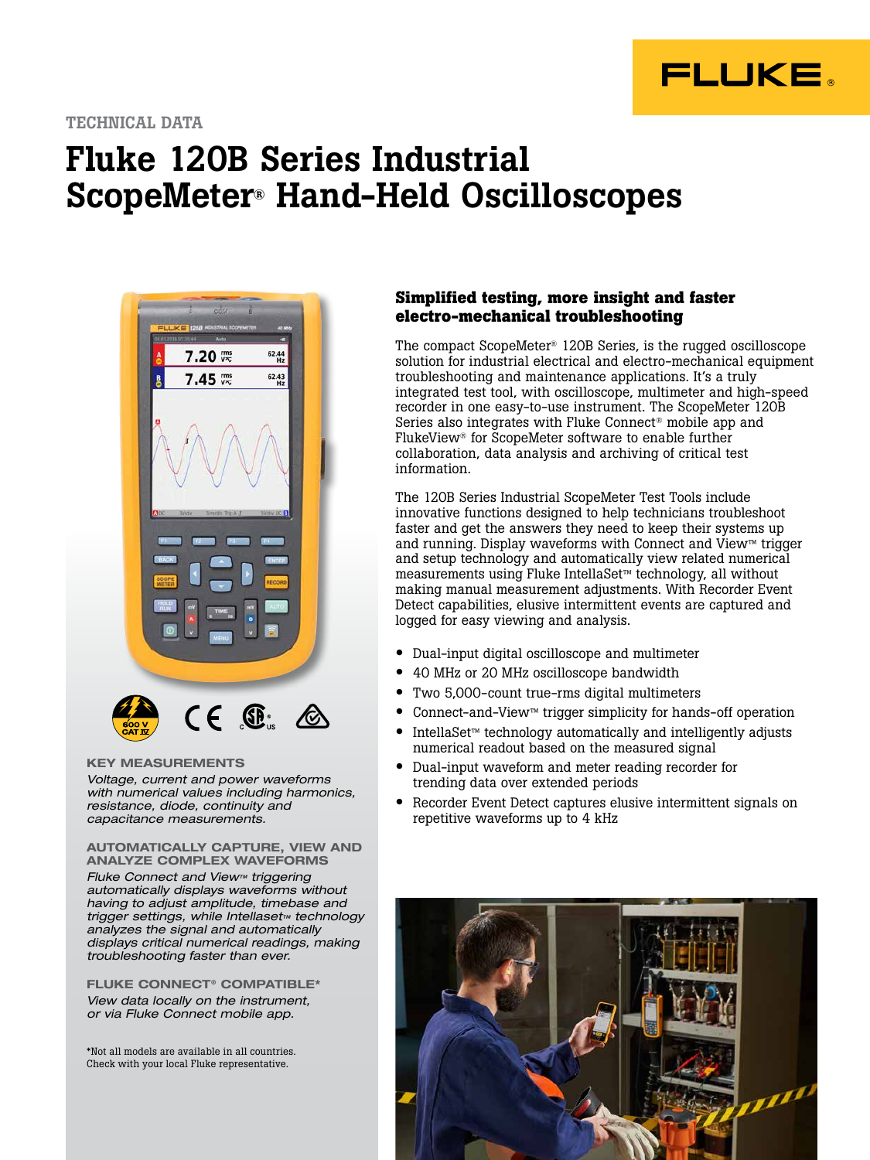

#### TECHNICAL DATA

# Fluke 120B Series Industrial ScopeMeter® Hand-Held Oscilloscopes



KEY MEASUREMENTS

*Voltage, current and power waveforms with numerical values including harmonics, resistance, diode, continuity and capacitance measurements.*

AUTOMATICALLY CAPTURE, VIEW AND ANALYZE COMPLEX WAVEFORMS *Fluke Connect and View™ triggering automatically displays waveforms without having to adjust amplitude, timebase and trigger settings, while Intellaset™ technology analyzes the signal and automatically displays critical numerical readings, making troubleshooting faster than ever.*

FLUKE CONNECT® COMPATIBLE\* *View data locally on the instrument, or via Fluke Connect mobile app.*

\*Not all models are available in all countries. Check with your local Fluke representative.

#### **Simplified testing, more insight and faster electro-mechanical troubleshooting**

The compact ScopeMeter® 120B Series, is the rugged oscilloscope solution for industrial electrical and electro-mechanical equipment troubleshooting and maintenance applications. It's a truly integrated test tool, with oscilloscope, multimeter and high-speed recorder in one easy-to-use instrument. The ScopeMeter 120B Series also integrates with Fluke Connect® mobile app and FlukeView® for ScopeMeter software to enable further collaboration, data analysis and archiving of critical test information.

The 120B Series Industrial ScopeMeter Test Tools include innovative functions designed to help technicians troubleshoot faster and get the answers they need to keep their systems up and running. Display waveforms with Connect and View™ trigger and setup technology and automatically view related numerical measurements using Fluke IntellaSet™ technology, all without making manual measurement adjustments. With Recorder Event Detect capabilities, elusive intermittent events are captured and logged for easy viewing and analysis.

- Dual-input digital oscilloscope and multimeter
- 40 MHz or 20 MHz oscilloscope bandwidth
- Two 5,000-count true-rms digital multimeters
- Connect-and-View™ trigger simplicity for hands-off operation
- IntellaSet™ technology automatically and intelligently adjusts numerical readout based on the measured signal
- Dual-input waveform and meter reading recorder for trending data over extended periods
- Recorder Event Detect captures elusive intermittent signals on repetitive waveforms up to 4 kHz

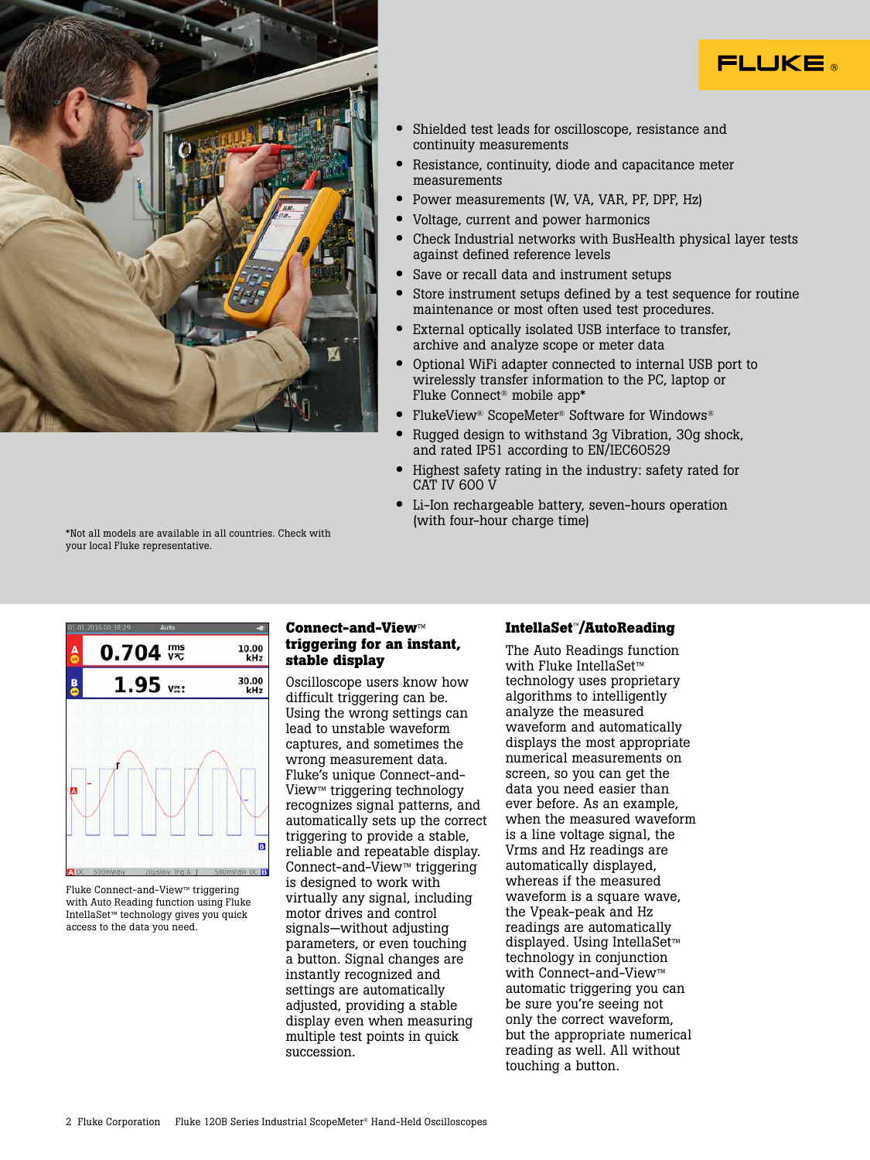



- Shielded test leads for oscilloscope, resistance and continuity measurements
- Resistance, continuity, diode and capacitance meter measurements
- Power measurements (W, VA, VAR, PF, DPF, Hz)
- Voltage, current and power harmonics
- Check Industrial networks with BusHealth physical layer tests against defined reference levels
- Save or recall data and instrument setups
- Store instrument setups defined by a test sequence for routine maintenance or most often used test procedures.
- External optically isolated USB interface to transfer, archive and analyze scope or meter data
- Optional WiFi adapter connected to internal USB port to wirelessly transfer information to the PC, laptop or Fluke Connect® mobile app\*
- FlukeView® ScopeMeter® Software for Windows®
- Rugged design to withstand 3g Vibration, 30g shock, and rated IP51 according to EN/IEC60529
- Highest safety rating in the industry: safety rated for CAT IV 600 V
- Li-Ion rechargeable battery, seven-hours operation (with four-hour charge time)

\*Not all models are available in all countries. Check with your local Fluke representative.



Fluke Connect-and-View™ triggering with Auto Reading function using Fluke IntellaSet™ technology gives you quick access to the data you need.

#### **Connect-and-View**™ **triggering for an instant, stable display**

Oscilloscope users know how difficult triggering can be. Using the wrong settings can lead to unstable waveform captures, and sometimes the wrong measurement data. Fluke's unique Connect-and-View™ triggering technology recognizes signal patterns, and automatically sets up the correct triggering to provide a stable, reliable and repeatable display. Connect-and-View™ triggering is designed to work with virtually any signal, including motor drives and control signals—without adjusting parameters, or even touching a button. Signal changes are instantly recognized and settings are automatically adjusted, providing a stable display even when measuring multiple test points in quick succession.

#### **IntellaSet**™**/AutoReading**

The Auto Readings function with Fluke IntellaSet™ technology uses proprietary algorithms to intelligently analyze the measured waveform and automatically displays the most appropriate numerical measurements on screen, so you can get the data you need easier than ever before. As an example, when the measured waveform is a line voltage signal, the Vrms and Hz readings are automatically displayed, whereas if the measured waveform is a square wave, the Vpeak-peak and Hz readings are automatically displayed. Using IntellaSet™ technology in conjunction with Connect-and-View™ automatic triggering you can be sure you're seeing not only the correct waveform, but the appropriate numerical reading as well. All without touching a button.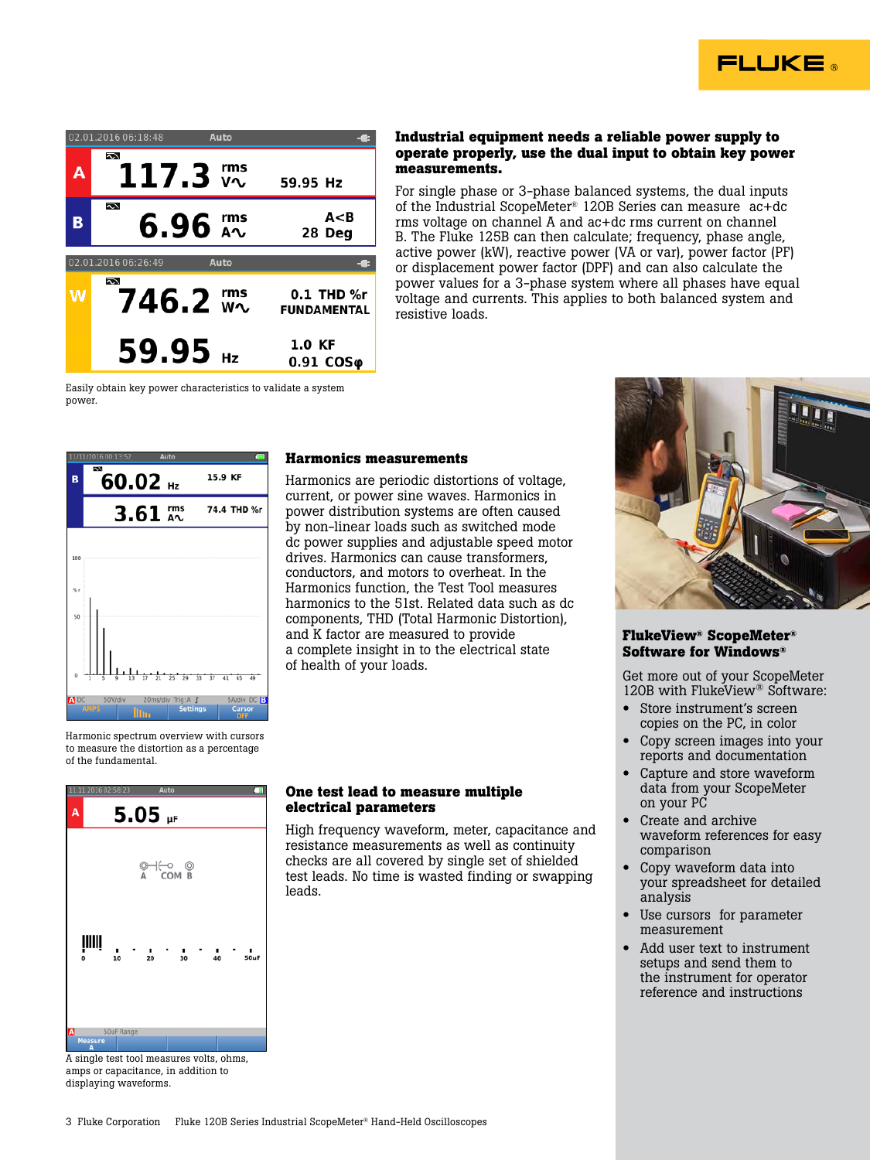



#### **Industrial equipment needs a reliable power supply to operate properly, use the dual input to obtain key power measurements.**

For single phase or 3-phase balanced systems, the dual inputs of the Industrial ScopeMeter® 120B Series can measure ac+dc rms voltage on channel A and ac+dc rms current on channel B. The Fluke 125B can then calculate; frequency, phase angle, active power (kW), reactive power (VA or var), power factor (PF) or displacement power factor (DPF) and can also calculate the power values for a 3-phase system where all phases have equal voltage and currents. This applies to both balanced system and resistive loads.

Easily obtain key power characteristics to validate a system power.



#### **Harmonics measurements**

Harmonics are periodic distortions of voltage, current, or power sine waves. Harmonics in power distribution systems are often caused by non-linear loads such as switched mode dc power supplies and adjustable speed motor drives. Harmonics can cause transformers, conductors, and motors to overheat. In the Harmonics function, the Test Tool measures harmonics to the 51st. Related data such as dc components, THD (Total Harmonic Distortion), and K factor are measured to provide a complete insight in to the electrical state of health of your loads.



#### **FlukeView® ScopeMeter® Software for Windows®**

Get more out of your ScopeMeter 120B with FlukeView® Software:

- Store instrument's screen copies on the PC, in color
- Copy screen images into your reports and documentation
- Capture and store waveform data from your ScopeMeter on your PC
- Create and archive waveform references for easy comparison
- Copy waveform data into your spreadsheet for detailed analysis
- Use cursors for parameter measurement
- Add user text to instrument setups and send them to the instrument for operator reference and instructions

Harmonic spectrum overview with cursors to measure the distortion as a percentage of the fundamental.



A single test tool measures volts, ohms, amps or capacitance, in addition to displaying waveforms.

#### **One test lead to measure multiple electrical parameters**

High frequency waveform, meter, capacitance and resistance measurements as well as continuity checks are all covered by single set of shielded test leads. No time is wasted finding or swapping leads.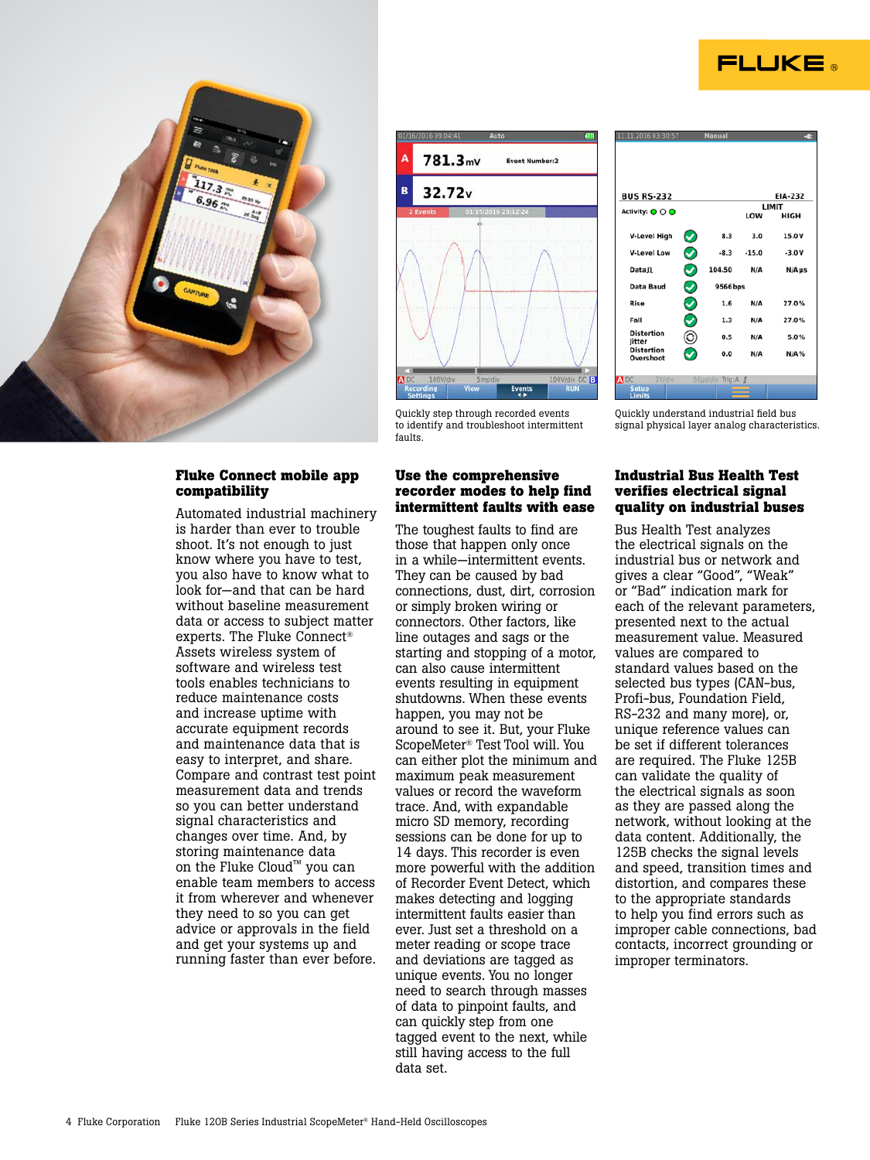



#### **Fluke Connect mobile app compatibility**

Automated industrial machinery is harder than ever to trouble shoot. It's not enough to just know where you have to test, you also have to know what to look for—and that can be hard without baseline measurement data or access to subject matter experts. The Fluke Connect® Assets wireless system of software and wireless test tools enables technicians to reduce maintenance costs and increase uptime with accurate equipment records and maintenance data that is easy to interpret, and share. Compare and contrast test point measurement data and trends so you can better understand signal characteristics and changes over time. And, by storing maintenance data on the Fluke Cloud™ you can enable team members to access it from wherever and whenever they need to so you can get advice or approvals in the field and get your systems up and running faster than ever before.



Quickly step through recorded events to identify and troubleshoot intermittent faults.

#### **Use the comprehensive recorder modes to help find intermittent faults with ease**

The toughest faults to find are those that happen only once in a while—intermittent events. They can be caused by bad connections, dust, dirt, corrosion or simply broken wiring or connectors. Other factors, like line outages and sags or the starting and stopping of a motor, can also cause intermittent events resulting in equipment shutdowns. When these events happen, you may not be around to see it. But, your Fluke ScopeMeter® Test Tool will. You can either plot the minimum and maximum peak measurement values or record the waveform trace. And, with expandable micro SD memory, recording sessions can be done for up to 14 days. This recorder is even more powerful with the addition of Recorder Event Detect, which makes detecting and logging intermittent faults easier than ever. Just set a threshold on a meter reading or scope trace and deviations are tagged as unique events. You no longer need to search through masses of data to pinpoint faults, and can quickly step from one tagged event to the next, while still having access to the full data set.



Quickly understand industrial field bus signal physical layer analog characteristics.

#### **Industrial Bus Health Test verifies electrical signal quality on industrial buses**

Bus Health Test analyzes the electrical signals on the industrial bus or network and gives a clear "Good", "Weak" or "Bad" indication mark for each of the relevant parameters, presented next to the actual measurement value. Measured values are compared to standard values based on the selected bus types (CAN-bus, Profi-bus, Foundation Field, RS-232 and many more), or, unique reference values can be set if different tolerances are required. The Fluke 125B can validate the quality of the electrical signals as soon as they are passed along the network, without looking at the data content. Additionally, the 125B checks the signal levels and speed, transition times and distortion, and compares these to the appropriate standards to help you find errors such as improper cable connections, bad contacts, incorrect grounding or improper terminators.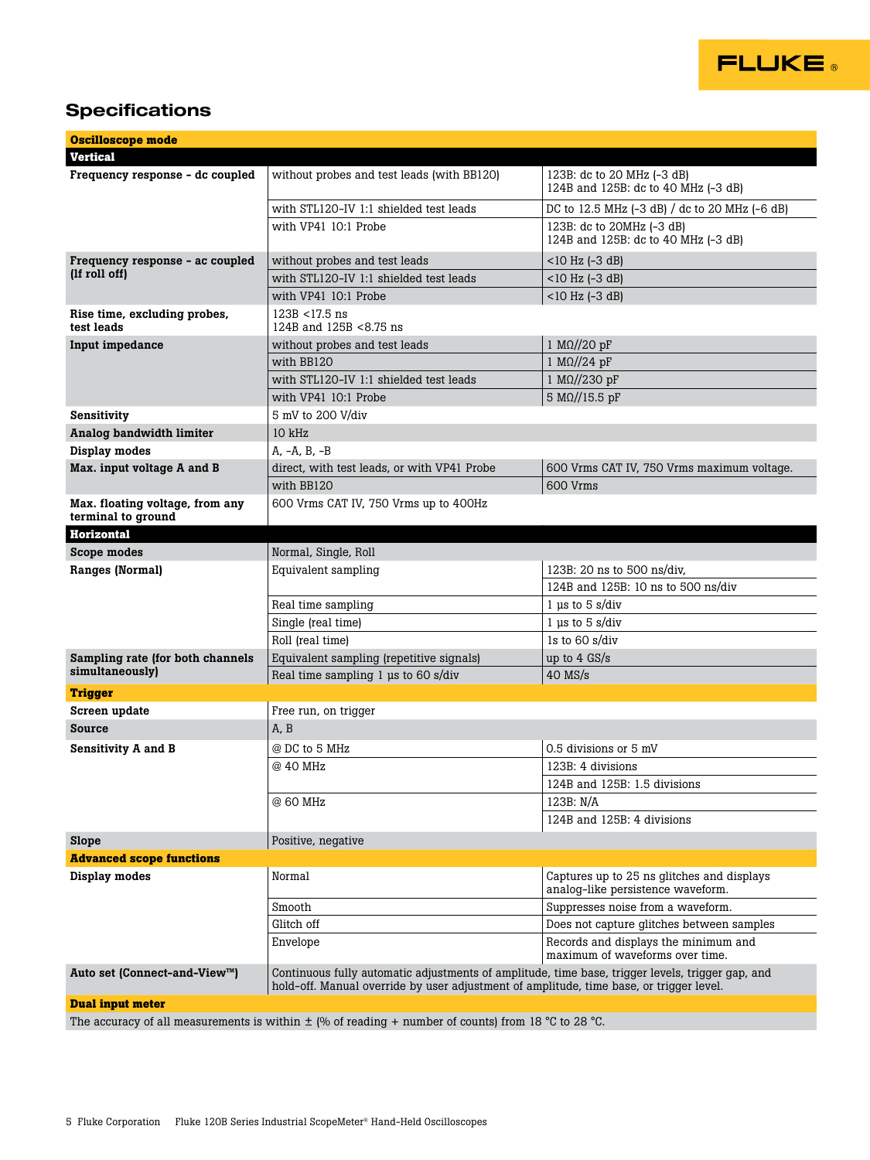

## **Specifications**

| <b>Oscilloscope mode</b>                              |                                                                                                                                                                                             |                                                                                 |  |
|-------------------------------------------------------|---------------------------------------------------------------------------------------------------------------------------------------------------------------------------------------------|---------------------------------------------------------------------------------|--|
| <b>Vertical</b>                                       |                                                                                                                                                                                             |                                                                                 |  |
| Frequency response - dc coupled                       | without probes and test leads (with BB120)                                                                                                                                                  | 123B: dc to 20 MHz (-3 dB)<br>124B and 125B: dc to 40 MHz (-3 dB)               |  |
|                                                       | with STL120-IV 1:1 shielded test leads                                                                                                                                                      | DC to 12.5 MHz (-3 dB) / dc to 20 MHz (-6 dB)                                   |  |
|                                                       | with VP41 10:1 Probe                                                                                                                                                                        | 123B: dc to 20MHz (-3 dB)<br>124B and 125B: dc to 40 MHz (-3 dB)                |  |
| Frequency response - ac coupled                       | without probes and test leads                                                                                                                                                               | $<$ 10 Hz $(-3$ dB)                                                             |  |
| (If roll off)                                         | with STL120-IV_1:1 shielded test leads                                                                                                                                                      | $<$ 10 Hz (-3 dB)                                                               |  |
|                                                       | with VP41 10:1 Probe                                                                                                                                                                        | $<$ 10 Hz (-3 dB)                                                               |  |
| Rise time, excluding probes,<br>test leads            | $123B < 17.5$ ns<br>124B and 125B <8.75 ns                                                                                                                                                  |                                                                                 |  |
| Input impedance                                       | without probes and test leads                                                                                                                                                               | 1 M $\Omega$ //20 pF                                                            |  |
|                                                       | with BB120                                                                                                                                                                                  | 1 M $\Omega$ //24 pF                                                            |  |
|                                                       | with STL120-IV_1:1 shielded test leads                                                                                                                                                      | 1 M $\Omega$ //230 pF                                                           |  |
|                                                       | with VP41 10:1 Probe                                                                                                                                                                        | 5 M $\Omega$ //15.5 pF                                                          |  |
| Sensitivity                                           | 5 mV to 200 V/div                                                                                                                                                                           |                                                                                 |  |
| Analog bandwidth limiter                              | 10 kHz                                                                                                                                                                                      |                                                                                 |  |
| Display modes                                         | A. -A. B. -B                                                                                                                                                                                |                                                                                 |  |
| Max. input voltage A and B                            | direct, with test leads, or with VP41 Probe                                                                                                                                                 | 600 Vrms CAT IV, 750 Vrms maximum voltage.                                      |  |
|                                                       | with BB120                                                                                                                                                                                  | 600 Vrms                                                                        |  |
| Max. floating voltage, from any<br>terminal to ground | 600 Vrms CAT IV, 750 Vrms up to 400Hz                                                                                                                                                       |                                                                                 |  |
| <b>Horizontal</b>                                     |                                                                                                                                                                                             |                                                                                 |  |
| Scope modes                                           | Normal, Single, Roll                                                                                                                                                                        |                                                                                 |  |
| Ranges (Normal)                                       | Equivalent sampling                                                                                                                                                                         | 123B: 20 ns to 500 ns/div,                                                      |  |
|                                                       |                                                                                                                                                                                             | 124B and 125B: 10 ns to 500 ns/div                                              |  |
|                                                       | Real time sampling                                                                                                                                                                          | $1 \mu s$ to 5 s/div                                                            |  |
|                                                       | Single (real time)                                                                                                                                                                          | $1 \mu s$ to 5 s/div                                                            |  |
|                                                       | Roll (real time)                                                                                                                                                                            | 1s to 60 s/div                                                                  |  |
| Sampling rate (for both channels                      | Equivalent sampling (repetitive signals)                                                                                                                                                    | up to $4$ GS/s                                                                  |  |
| simultaneously)                                       | Real time sampling 1 us to 60 s/div                                                                                                                                                         | $40$ MS/s                                                                       |  |
| <b>Trigger</b>                                        |                                                                                                                                                                                             |                                                                                 |  |
| Screen update                                         | Free run, on trigger                                                                                                                                                                        |                                                                                 |  |
| <b>Source</b>                                         | A, B                                                                                                                                                                                        |                                                                                 |  |
| <b>Sensitivity A and B</b>                            | @ DC to 5 MHz                                                                                                                                                                               | 0.5 divisions or 5 mV                                                           |  |
|                                                       | @ 40 MHz                                                                                                                                                                                    | 123B: 4 divisions                                                               |  |
|                                                       |                                                                                                                                                                                             | 124B and 125B: 1.5 divisions                                                    |  |
|                                                       | @ 60 MHz                                                                                                                                                                                    | 123B: N/A                                                                       |  |
|                                                       |                                                                                                                                                                                             | 124B and 125B: 4 divisions                                                      |  |
|                                                       |                                                                                                                                                                                             |                                                                                 |  |
| Slope                                                 | Positive, negative                                                                                                                                                                          |                                                                                 |  |
| <b>Advanced scope functions</b>                       |                                                                                                                                                                                             |                                                                                 |  |
| Display modes                                         | Normal                                                                                                                                                                                      | Captures up to 25 ns glitches and displays<br>analog-like persistence waveform. |  |
|                                                       | Smooth                                                                                                                                                                                      | Suppresses noise from a waveform.                                               |  |
|                                                       | Glitch off                                                                                                                                                                                  | Does not capture glitches between samples                                       |  |
|                                                       | Envelope                                                                                                                                                                                    | Records and displays the minimum and<br>maximum of waveforms over time.         |  |
| Auto set (Connect-and-View™)                          | Continuous fully automatic adjustments of amplitude, time base, trigger levels, trigger gap, and<br>hold-off. Manual override by user adjustment of amplitude, time base, or trigger level. |                                                                                 |  |
| <b>Dual input meter</b>                               |                                                                                                                                                                                             |                                                                                 |  |

The accuracy of all measurements is within  $\pm$  (% of reading + number of counts) from 18 °C to 28 °C.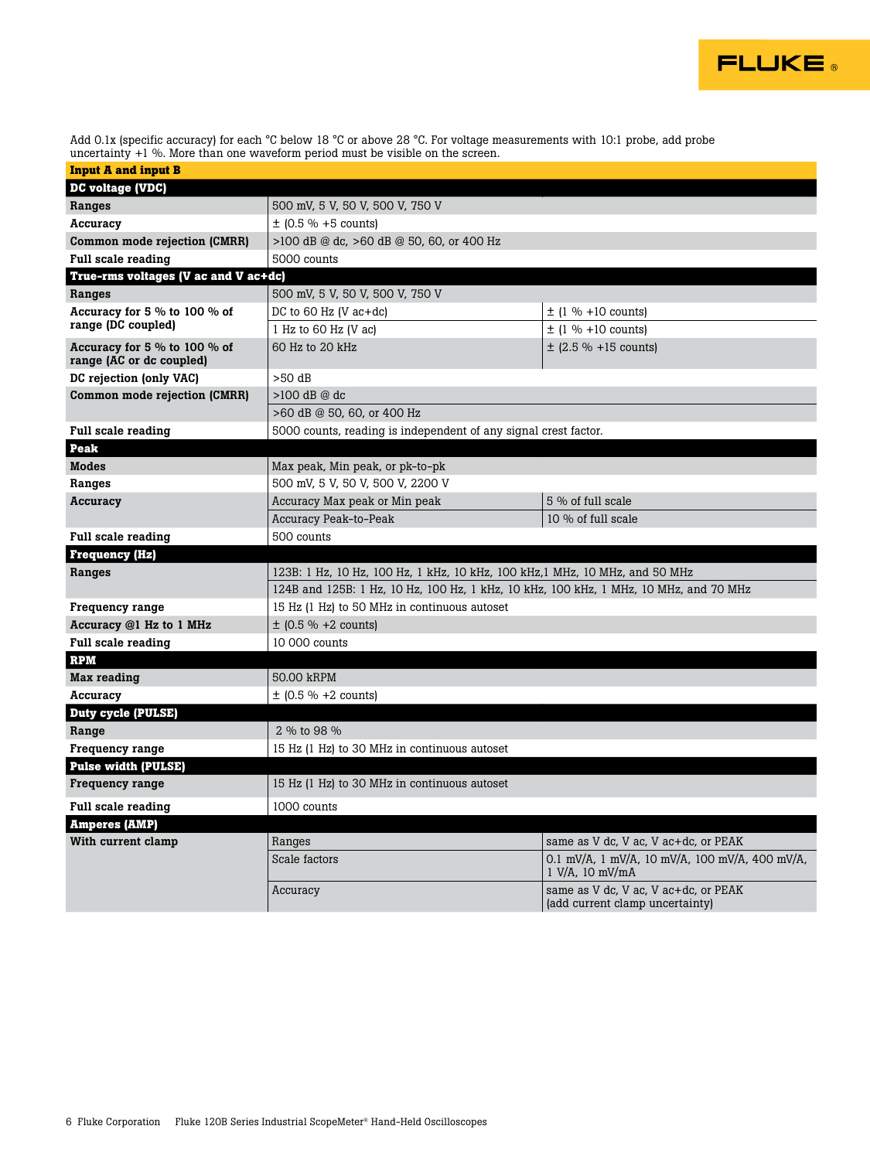

Add 0.1x (specific accuracy) for each °C below 18 °C or above 28 °C. For voltage measurements with 10:1 probe, add probe uncertainty +1 %. More than one waveform period must be visible on the screen.

| <b>Input A and input B</b>                               |                                                                                       |                                                                         |  |
|----------------------------------------------------------|---------------------------------------------------------------------------------------|-------------------------------------------------------------------------|--|
| <b>DC</b> voltage (VDC)                                  |                                                                                       |                                                                         |  |
| Ranges                                                   | 500 mV, 5 V, 50 V, 500 V, 750 V                                                       |                                                                         |  |
| Accuracy                                                 | $\pm$ (0.5 % +5 counts)                                                               |                                                                         |  |
| Common mode rejection (CMRR)                             | >100 dB @ dc, >60 dB @ 50, 60, or 400 Hz                                              |                                                                         |  |
| <b>Full scale reading</b>                                | 5000 counts                                                                           |                                                                         |  |
| True-rms voltages (V ac and V ac+dc)                     |                                                                                       |                                                                         |  |
| Ranges                                                   | 500 mV, 5 V, 50 V, 500 V, 750 V                                                       |                                                                         |  |
| Accuracy for 5 % to 100 % of                             | DC to 60 Hz (V $ac+dc$ )                                                              | $\pm$ (1 % +10 counts)                                                  |  |
| range (DC coupled)                                       | 1 Hz to $60$ Hz (V ac)                                                                | $\pm$ (1 % +10 counts)                                                  |  |
| Accuracy for 5 % to 100 % of<br>range (AC or dc coupled) | 60 Hz to 20 kHz                                                                       | $\pm$ (2.5 % +15 counts)                                                |  |
| DC rejection (only VAC)                                  | $>50$ dB                                                                              |                                                                         |  |
| Common mode rejection (CMRR)                             | $>100$ dB @ dc                                                                        |                                                                         |  |
|                                                          | >60 dB @ 50, 60, or 400 Hz                                                            |                                                                         |  |
| <b>Full scale reading</b>                                | 5000 counts, reading is independent of any signal crest factor.                       |                                                                         |  |
| Peak                                                     |                                                                                       |                                                                         |  |
| <b>Modes</b>                                             | Max peak, Min peak, or pk–to–pk                                                       |                                                                         |  |
| Ranges                                                   | 500 mV, 5 V, 50 V, 500 V, 2200 V                                                      |                                                                         |  |
| Accuracy                                                 | Accuracy Max peak or Min peak                                                         | 5 % of full scale                                                       |  |
|                                                          | Accuracy Peak–to–Peak                                                                 | $10\%$ of full scale                                                    |  |
| <b>Full scale reading</b>                                | 500 counts                                                                            |                                                                         |  |
| <b>Frequency (Hz)</b>                                    |                                                                                       |                                                                         |  |
| Ranges                                                   | 123B: 1 Hz, 10 Hz, 100 Hz, 1 kHz, 10 kHz, 100 kHz, 1 MHz, 10 MHz, and 50 MHz          |                                                                         |  |
|                                                          | 124B and 125B: 1 Hz, 10 Hz, 100 Hz, 1 kHz, 10 kHz, 100 kHz, 1 MHz, 10 MHz, and 70 MHz |                                                                         |  |
| <b>Frequency range</b>                                   | 15 Hz (1 Hz) to 50 MHz in continuous autoset                                          |                                                                         |  |
| Accuracy @1 Hz to 1 MHz                                  | $\pm$ (0.5 % +2 counts)                                                               |                                                                         |  |
| <b>Full scale reading</b>                                | 10 000 counts                                                                         |                                                                         |  |
| <b>RPM</b>                                               |                                                                                       |                                                                         |  |
| Max reading                                              | 50.00 kRPM                                                                            |                                                                         |  |
| Accuracy                                                 | $\pm$ (0.5 % +2 counts)                                                               |                                                                         |  |
| Duty cycle (PULSE)                                       |                                                                                       |                                                                         |  |
| Range                                                    | 2 % to 98 %                                                                           |                                                                         |  |
| <b>Frequency range</b>                                   | 15 Hz (1 Hz) to 30 MHz in continuous autoset                                          |                                                                         |  |
| <b>Pulse width (PULSE)</b>                               |                                                                                       |                                                                         |  |
| <b>Frequency range</b>                                   | 15 Hz (1 Hz) to 30 MHz in continuous autoset                                          |                                                                         |  |
| <b>Full scale reading</b>                                | 1000 counts                                                                           |                                                                         |  |
| <b>Amperes (AMP)</b>                                     |                                                                                       |                                                                         |  |
| With current clamp                                       | Ranges                                                                                | same as V dc, V ac, V ac+dc, or PEAK                                    |  |
|                                                          | Scale factors                                                                         | 0.1 mV/A, 1 mV/A, 10 mV/A, 100 mV/A, 400 mV/A,<br>$1$ V/A, $10$ mV/mA   |  |
|                                                          | Accuracy                                                                              | same as V dc, V ac, V ac+dc, or PEAK<br>(add current clamp uncertainty) |  |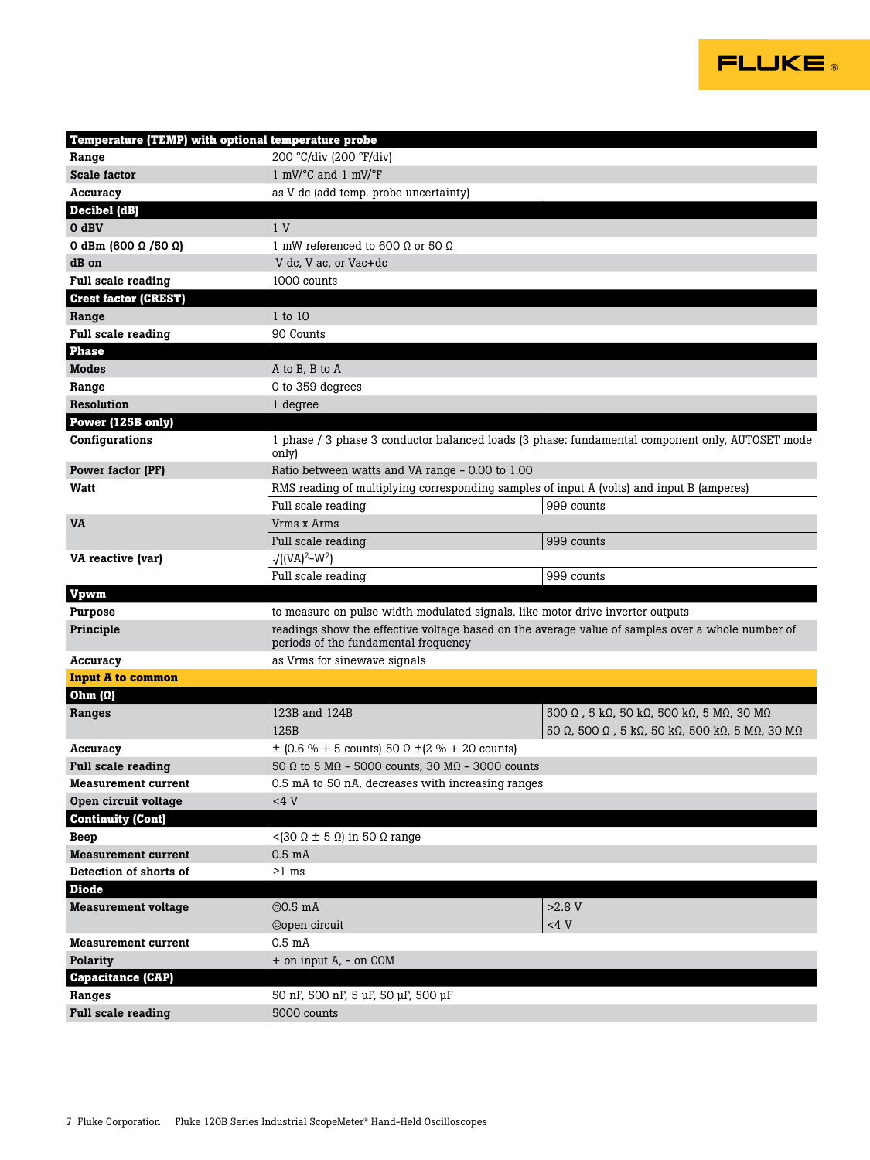

| Temperature (TEMP) with optional temperature probe |                                                                                                                                          |                                                                                                 |  |
|----------------------------------------------------|------------------------------------------------------------------------------------------------------------------------------------------|-------------------------------------------------------------------------------------------------|--|
| Range                                              | 200 °C/div (200 °F/div)                                                                                                                  |                                                                                                 |  |
| <b>Scale factor</b>                                | 1 mV/ $\degree$ C and 1 mV/ $\degree$ F                                                                                                  |                                                                                                 |  |
| Accuracy                                           | as V dc (add temp. probe uncertainty)                                                                                                    |                                                                                                 |  |
| <b>Decibel</b> (dB)                                |                                                                                                                                          |                                                                                                 |  |
| $0$ dBV                                            | 1 <sub>V</sub>                                                                                                                           |                                                                                                 |  |
|                                                    | 1 mW referenced to 600 $\Omega$ or 50 $\Omega$                                                                                           |                                                                                                 |  |
| 0 dBm (600 $\Omega$ /50 $\Omega$ )<br>dB on        |                                                                                                                                          |                                                                                                 |  |
| <b>Full scale reading</b>                          | V dc, V ac, or Vac+dc<br>1000 counts                                                                                                     |                                                                                                 |  |
| <b>Crest factor (CREST)</b>                        |                                                                                                                                          |                                                                                                 |  |
| Range                                              | 1 to 10                                                                                                                                  |                                                                                                 |  |
| <b>Full scale reading</b>                          | 90 Counts                                                                                                                                |                                                                                                 |  |
| <b>Phase</b>                                       |                                                                                                                                          |                                                                                                 |  |
| <b>Modes</b>                                       | A to B, B to A                                                                                                                           |                                                                                                 |  |
| Range                                              | 0 to 359 degrees                                                                                                                         |                                                                                                 |  |
| <b>Resolution</b>                                  | 1 degree                                                                                                                                 |                                                                                                 |  |
| Power (125B only)                                  |                                                                                                                                          |                                                                                                 |  |
| Configurations                                     | only)                                                                                                                                    | 1 phase / 3 phase 3 conductor balanced loads (3 phase: fundamental component only, AUTOSET mode |  |
| Power factor (PF)                                  | Ratio between watts and VA range - 0.00 to 1.00                                                                                          |                                                                                                 |  |
| Watt                                               | RMS reading of multiplying corresponding samples of input A (volts) and input B (amperes)                                                |                                                                                                 |  |
|                                                    | Full scale reading                                                                                                                       | 999 counts                                                                                      |  |
| VA                                                 | Vrms x Arms                                                                                                                              |                                                                                                 |  |
|                                                    | Full scale reading                                                                                                                       | 999 counts                                                                                      |  |
| VA reactive (var)                                  | $\sqrt{((VA)^2-W^2)}$                                                                                                                    |                                                                                                 |  |
|                                                    | Full scale reading                                                                                                                       | 999 counts                                                                                      |  |
| Vpwm                                               |                                                                                                                                          |                                                                                                 |  |
| Purpose                                            | to measure on pulse width modulated signals, like motor drive inverter outputs                                                           |                                                                                                 |  |
| Principle                                          | readings show the effective voltage based on the average value of samples over a whole number of<br>periods of the fundamental frequency |                                                                                                 |  |
| Accuracy                                           | as Vrms for sinewave signals                                                                                                             |                                                                                                 |  |
| <b>Input A to common</b>                           |                                                                                                                                          |                                                                                                 |  |
| Ohm $(\Omega)$                                     |                                                                                                                                          |                                                                                                 |  |
| Ranges                                             | 123B and 124B                                                                                                                            | 500 $\Omega$ , 5 k $\Omega$ , 50 k $\Omega$ , 500 k $\Omega$ , 5 M $\Omega$ , 30 M $\Omega$     |  |
|                                                    | 125B                                                                                                                                     | 50 Ω, 500 Ω, 5 kΩ, 50 kΩ, 500 kΩ, 5 MΩ, 30 MΩ                                                   |  |
| Accuracy                                           | $\pm$ (0.6 % + 5 counts) 50 $\Omega$ $\pm$ (2 % + 20 counts)                                                                             |                                                                                                 |  |
| <b>Full scale reading</b>                          | 50 $\Omega$ to 5 M $\Omega$ - 5000 counts, 30 M $\Omega$ - 3000 counts                                                                   |                                                                                                 |  |
| <b>Measurement current</b>                         | 0.5 mA to 50 nA, decreases with increasing ranges                                                                                        |                                                                                                 |  |
| Open circuit voltage                               | 4V                                                                                                                                       |                                                                                                 |  |
| <b>Continuity (Cont)</b>                           |                                                                                                                                          |                                                                                                 |  |
| Beep                                               | <(30 Ω ± 5 Ω) in 50 Ω range                                                                                                              |                                                                                                 |  |
| <b>Measurement current</b>                         | $0.5$ mA                                                                                                                                 |                                                                                                 |  |
| Detection of shorts of                             | $\geq$ 1 ms                                                                                                                              |                                                                                                 |  |
| <b>Diode</b>                                       |                                                                                                                                          |                                                                                                 |  |
| <b>Measurement voltage</b>                         | @0.5 mA                                                                                                                                  | >2.8 V                                                                                          |  |
|                                                    | @open circuit                                                                                                                            | $<4~\rm{V}$                                                                                     |  |
| <b>Measurement current</b>                         | $0.5$ mA                                                                                                                                 |                                                                                                 |  |
| Polarity                                           | + on input A, - on COM                                                                                                                   |                                                                                                 |  |
| <b>Capacitance (CAP)</b>                           |                                                                                                                                          |                                                                                                 |  |
| Ranges                                             | 50 nF, 500 nF, 5 µF, 50 µF, 500 µF                                                                                                       |                                                                                                 |  |
| <b>Full scale reading</b>                          | 5000 counts                                                                                                                              |                                                                                                 |  |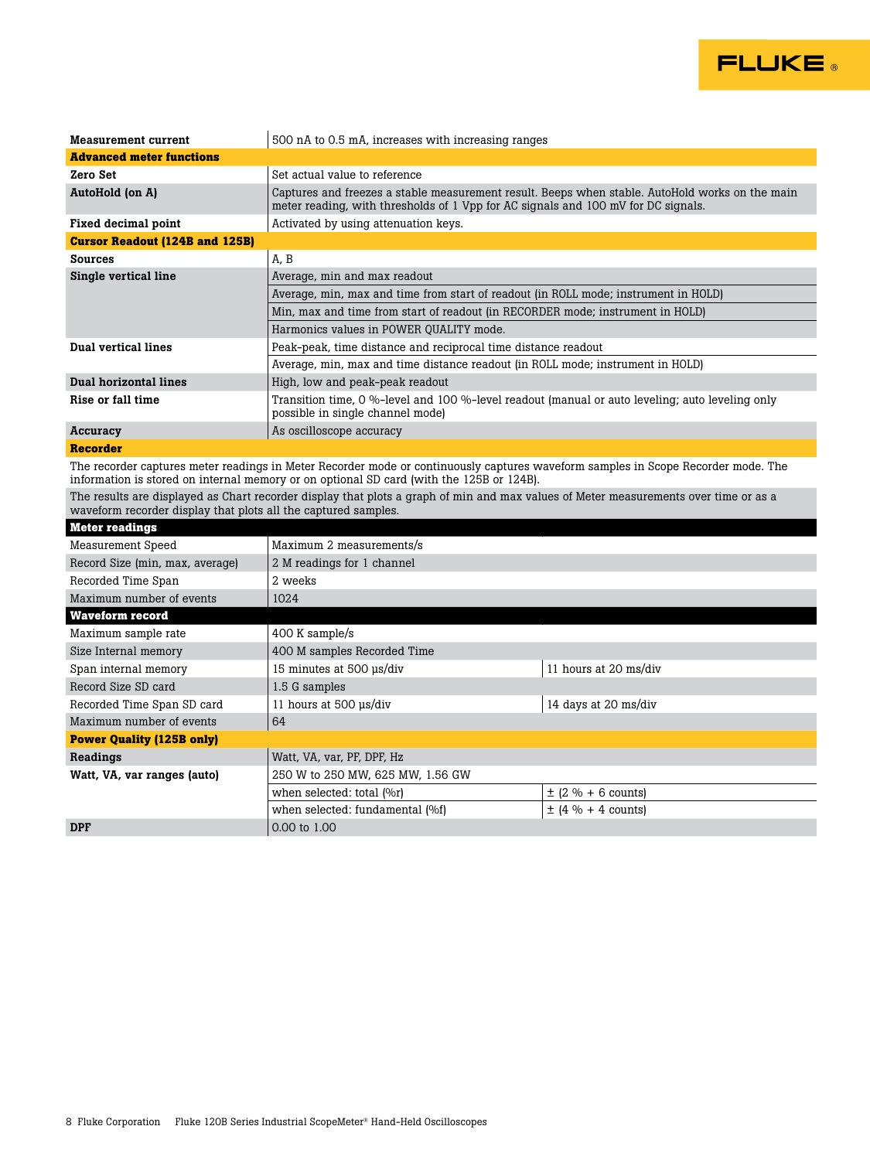

| <b>Measurement current</b>                                                                                                                                                                             | 500 nA to 0.5 mA, increases with increasing ranges                                                                                                                                                                            |                        |  |
|--------------------------------------------------------------------------------------------------------------------------------------------------------------------------------------------------------|-------------------------------------------------------------------------------------------------------------------------------------------------------------------------------------------------------------------------------|------------------------|--|
| <b>Advanced meter functions</b>                                                                                                                                                                        |                                                                                                                                                                                                                               |                        |  |
| Zero Set                                                                                                                                                                                               | Set actual value to reference                                                                                                                                                                                                 |                        |  |
| AutoHold (on A)                                                                                                                                                                                        | Captures and freezes a stable measurement result. Beeps when stable. AutoHold works on the main<br>meter reading, with thresholds of 1 Vpp for AC signals and 100 mV for DC signals.                                          |                        |  |
| Fixed decimal point                                                                                                                                                                                    | Activated by using attenuation keys.                                                                                                                                                                                          |                        |  |
| <b>Cursor Readout (124B and 125B)</b>                                                                                                                                                                  |                                                                                                                                                                                                                               |                        |  |
| <b>Sources</b>                                                                                                                                                                                         | A.B                                                                                                                                                                                                                           |                        |  |
| Single vertical line                                                                                                                                                                                   | Average, min and max readout                                                                                                                                                                                                  |                        |  |
|                                                                                                                                                                                                        | Average, min, max and time from start of readout (in ROLL mode; instrument in HOLD)                                                                                                                                           |                        |  |
|                                                                                                                                                                                                        | Min, max and time from start of readout (in RECORDER mode; instrument in HOLD)                                                                                                                                                |                        |  |
|                                                                                                                                                                                                        | Harmonics values in POWER QUALITY mode.                                                                                                                                                                                       |                        |  |
| Dual vertical lines                                                                                                                                                                                    | Peak-peak, time distance and reciprocal time distance readout                                                                                                                                                                 |                        |  |
|                                                                                                                                                                                                        | Average, min, max and time distance readout (in ROLL mode; instrument in HOLD)                                                                                                                                                |                        |  |
| Dual horizontal lines                                                                                                                                                                                  | High, low and peak-peak readout                                                                                                                                                                                               |                        |  |
| Rise or fall time                                                                                                                                                                                      | Transition time, 0 %-level and 100 %-level readout (manual or auto leveling; auto leveling only<br>possible in single channel mode)                                                                                           |                        |  |
| Accuracy                                                                                                                                                                                               | As oscilloscope accuracy                                                                                                                                                                                                      |                        |  |
| <b>Recorder</b>                                                                                                                                                                                        |                                                                                                                                                                                                                               |                        |  |
|                                                                                                                                                                                                        | The recorder captures meter readings in Meter Recorder mode or continuously captures waveform samples in Scope Recorder mode. The<br>information is stored on internal memory or on optional SD card (with the 125B or 124B). |                        |  |
| The results are displayed as Chart recorder display that plots a graph of min and max values of Meter measurements over time or as a<br>waveform recorder display that plots all the captured samples. |                                                                                                                                                                                                                               |                        |  |
| <b>Meter readings</b>                                                                                                                                                                                  |                                                                                                                                                                                                                               |                        |  |
| <b>Measurement Speed</b>                                                                                                                                                                               | Maximum 2 measurements/s                                                                                                                                                                                                      |                        |  |
| Record Size (min, max, average)                                                                                                                                                                        | 2 M readings for 1 channel                                                                                                                                                                                                    |                        |  |
| Recorded Time Span                                                                                                                                                                                     | 2 weeks                                                                                                                                                                                                                       |                        |  |
| Maximum number of events                                                                                                                                                                               | 1024                                                                                                                                                                                                                          |                        |  |
| <b>Waveform record</b>                                                                                                                                                                                 |                                                                                                                                                                                                                               |                        |  |
| Maximum sample rate                                                                                                                                                                                    | 400 K sample/s                                                                                                                                                                                                                |                        |  |
| Size Internal memory                                                                                                                                                                                   | 400 M samples Recorded Time                                                                                                                                                                                                   |                        |  |
| Span internal memory                                                                                                                                                                                   | 15 minutes at 500 µs/div                                                                                                                                                                                                      | 11 hours at 20 ms/div  |  |
| Record Size SD card                                                                                                                                                                                    | 1.5 G samples                                                                                                                                                                                                                 |                        |  |
| Recorded Time Span SD card                                                                                                                                                                             | 11 hours at 500 us/div                                                                                                                                                                                                        | 14 days at 20 ms/div   |  |
| Maximum number of events                                                                                                                                                                               | 64                                                                                                                                                                                                                            |                        |  |
| <b>Power Quality (125B only)</b>                                                                                                                                                                       |                                                                                                                                                                                                                               |                        |  |
| Readings                                                                                                                                                                                               | Watt, VA, var, PF, DPF, Hz                                                                                                                                                                                                    |                        |  |
| Watt, VA, var ranges (auto)                                                                                                                                                                            | 250 W to 250 MW, 625 MW, 1.56 GW                                                                                                                                                                                              |                        |  |
|                                                                                                                                                                                                        | when selected: total (%r)                                                                                                                                                                                                     | $\pm$ (2 % + 6 counts) |  |
|                                                                                                                                                                                                        | when selected: fundamental (%f)                                                                                                                                                                                               | $\pm$ (4 % + 4 counts) |  |
| DPF                                                                                                                                                                                                    | 0.00 to 1.00                                                                                                                                                                                                                  |                        |  |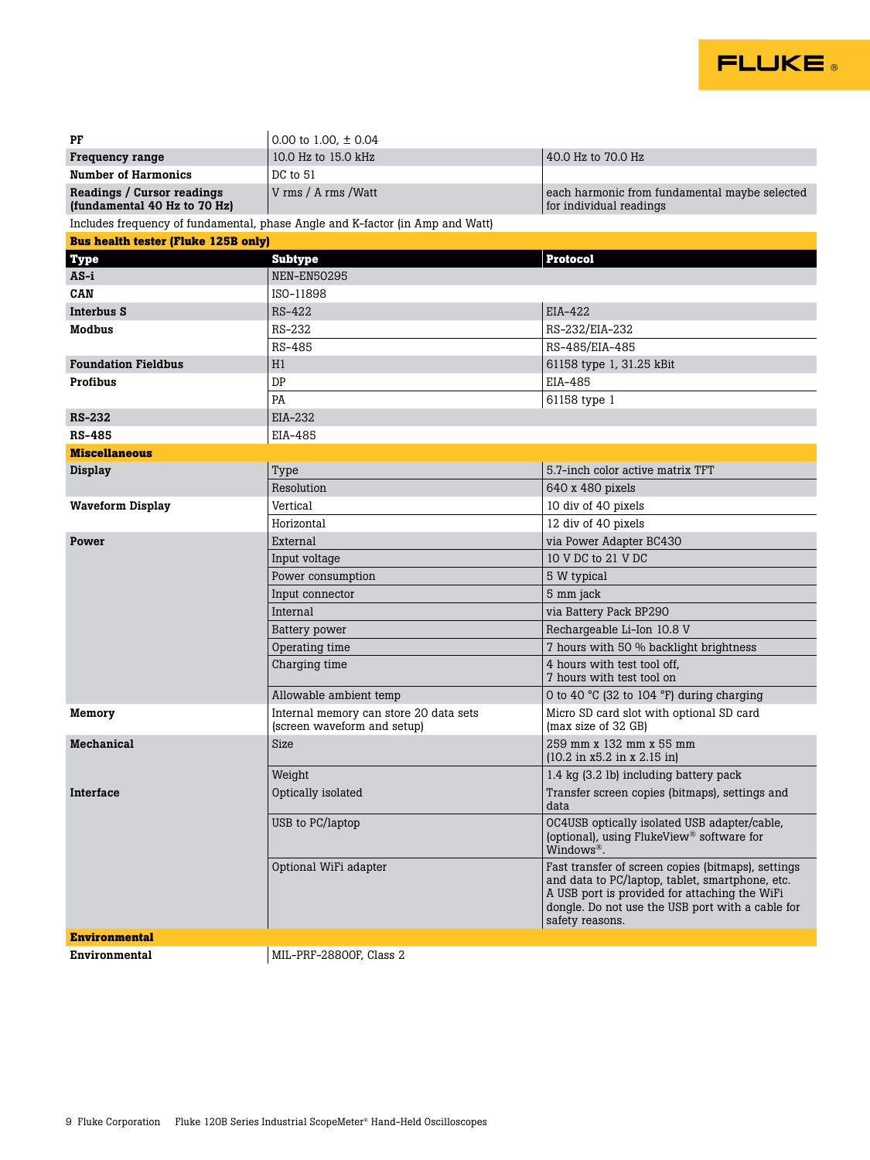

| PF                                                         | 0.00 to 1.00, $\pm$ 0.04                                                      |                                                                                                                                                                                                                               |  |
|------------------------------------------------------------|-------------------------------------------------------------------------------|-------------------------------------------------------------------------------------------------------------------------------------------------------------------------------------------------------------------------------|--|
| <b>Frequency range</b>                                     | 10.0 Hz to 15.0 kHz<br>40.0 Hz to 70.0 Hz                                     |                                                                                                                                                                                                                               |  |
| <b>Number of Harmonics</b>                                 | DC to 51                                                                      |                                                                                                                                                                                                                               |  |
| Readings / Cursor readings<br>(fundamental 40 Hz to 70 Hz) | V rms / A rms / Watt                                                          | each harmonic from fundamental maybe selected<br>for individual readings                                                                                                                                                      |  |
|                                                            | Includes frequency of fundamental, phase Angle and K-factor (in Amp and Watt) |                                                                                                                                                                                                                               |  |
| <b>Bus health tester (Fluke 125B only)</b>                 |                                                                               |                                                                                                                                                                                                                               |  |
| <b>Type</b>                                                | <b>Subtype</b>                                                                | <b>Protocol</b>                                                                                                                                                                                                               |  |
| AS-i                                                       | <b>NEN-EN50295</b>                                                            |                                                                                                                                                                                                                               |  |
| CAN                                                        | ISO-11898                                                                     |                                                                                                                                                                                                                               |  |
| Interbus S                                                 | RS-422<br>EIA-422                                                             |                                                                                                                                                                                                                               |  |
| <b>Modbus</b>                                              | RS-232                                                                        | RS-232/EIA-232                                                                                                                                                                                                                |  |
|                                                            | RS-485                                                                        | RS-485/EIA-485                                                                                                                                                                                                                |  |
| <b>Foundation Fieldbus</b>                                 | H1                                                                            | 61158 type 1, 31.25 kBit                                                                                                                                                                                                      |  |
| Profibus                                                   | DP                                                                            | EIA-485                                                                                                                                                                                                                       |  |
|                                                            | PĀ                                                                            | 61158 type 1                                                                                                                                                                                                                  |  |
| <b>RS-232</b>                                              | EIA-232                                                                       |                                                                                                                                                                                                                               |  |
| <b>RS-485</b>                                              | EIA-485                                                                       |                                                                                                                                                                                                                               |  |
| <b>Miscellaneous</b>                                       |                                                                               |                                                                                                                                                                                                                               |  |
| <b>Display</b>                                             | Type                                                                          | 5.7-inch color active matrix TFT                                                                                                                                                                                              |  |
|                                                            | Resolution                                                                    | 640 x 480 pixels                                                                                                                                                                                                              |  |
| <b>Waveform Display</b>                                    | Vertical                                                                      | 10 div of 40 pixels                                                                                                                                                                                                           |  |
|                                                            | Horizontal                                                                    | 12 div of 40 pixels                                                                                                                                                                                                           |  |
| Power                                                      | External                                                                      | via Power Adapter BC430                                                                                                                                                                                                       |  |
|                                                            | Input voltage                                                                 | 10 V DC to 21 V DC                                                                                                                                                                                                            |  |
|                                                            | Power consumption                                                             | 5 W typical                                                                                                                                                                                                                   |  |
|                                                            | Input connector                                                               | 5 mm jack                                                                                                                                                                                                                     |  |
|                                                            | Internal                                                                      | via Battery Pack BP290                                                                                                                                                                                                        |  |
|                                                            | Battery power                                                                 | Rechargeable Li-Ion 10.8 V                                                                                                                                                                                                    |  |
|                                                            | Operating time                                                                | 7 hours with 50 % backlight brightness                                                                                                                                                                                        |  |
|                                                            | Charging time                                                                 | 4 hours with test tool off.<br>7 hours with test tool on                                                                                                                                                                      |  |
|                                                            | Allowable ambient temp                                                        | 0 to 40 $\degree$ C (32 to 104 $\degree$ F) during charging                                                                                                                                                                   |  |
| Memory                                                     | Internal memory can store 20 data sets<br>(screen waveform and setup)         | Micro SD card slot with optional SD card<br>(max size of 32 GB)                                                                                                                                                               |  |
| Mechanical                                                 | Size                                                                          | 259 mm x 132 mm x 55 mm<br>$(10.2 \text{ in } x5.2 \text{ in } x 2.15 \text{ in})$                                                                                                                                            |  |
|                                                            | Weight                                                                        | 1.4 kg (3.2 lb) including battery pack                                                                                                                                                                                        |  |
| Interface                                                  | Optically isolated                                                            | Transfer screen copies (bitmaps), settings and<br>data                                                                                                                                                                        |  |
|                                                            | USB to PC/laptop                                                              | OC4USB optically isolated USB adapter/cable,<br>(optional), using FlukeView <sup>®</sup> software for<br>Windows®.                                                                                                            |  |
|                                                            | Optional WiFi adapter                                                         | Fast transfer of screen copies (bitmaps), settings<br>and data to PC/laptop, tablet, smartphone, etc.<br>A USB port is provided for attaching the WiFi<br>dongle. Do not use the USB port with a cable for<br>safety reasons. |  |
| <b>Environmental</b>                                       |                                                                               |                                                                                                                                                                                                                               |  |

Environmental MIL-PRF-28800F, Class 2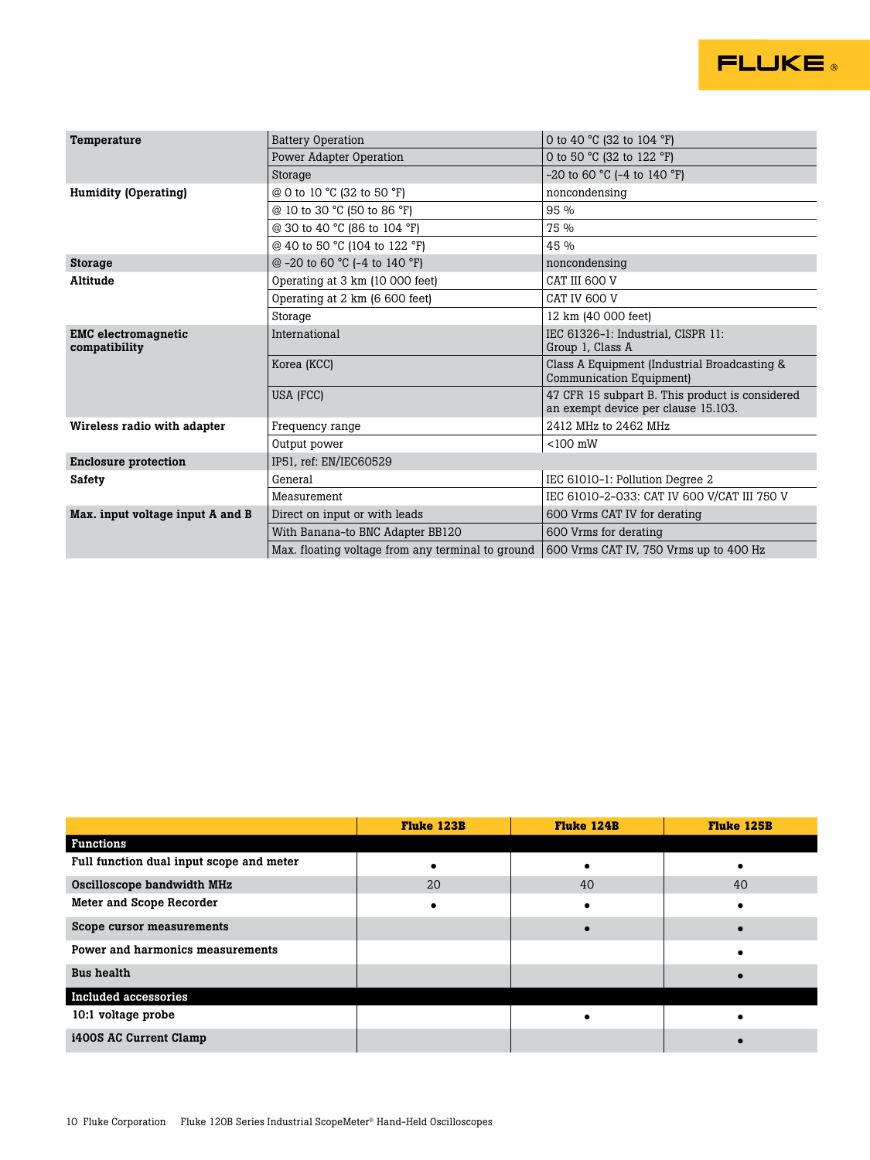

| Temperature                                 | <b>Battery Operation</b>                          | 0 to 40 °C (32 to 104 °F)                                                              |  |
|---------------------------------------------|---------------------------------------------------|----------------------------------------------------------------------------------------|--|
|                                             | Power Adapter Operation                           | 0 to 50 °C (32 to 122 °F)                                                              |  |
|                                             | Storage                                           | $-20$ to 60 °C ( $-4$ to 140 °F)                                                       |  |
| <b>Humidity (Operating)</b>                 | @ 0 to 10 °C (32 to 50 °F)                        | noncondensing                                                                          |  |
|                                             | @ 10 to 30 °C (50 to 86 °F)                       | 95 %                                                                                   |  |
|                                             | @ 30 to 40 °C (86 to 104 °F)                      | 75 %                                                                                   |  |
|                                             | @ 40 to 50 °C (104 to 122 °F)                     | 45 %                                                                                   |  |
| <b>Storage</b>                              | @ -20 to 60 °C (-4 to 140 °F)                     | noncondensing                                                                          |  |
| Altitude                                    | Operating at 3 km (10 000 feet)                   | CAT III 600 V                                                                          |  |
|                                             | Operating at 2 km (6 600 feet)                    | CAT IV 600 V                                                                           |  |
|                                             | Storage                                           | 12 km (40 000 feet)                                                                    |  |
| <b>EMC</b> electromagnetic<br>compatibility | International                                     | IEC 61326-1: Industrial, CISPR 11:<br>Group 1, Class A                                 |  |
|                                             | Korea (KCC)                                       | Class A Equipment (Industrial Broadcasting &<br>Communication Equipment)               |  |
|                                             | USA (FCC)                                         | 47 CFR 15 subpart B. This product is considered<br>an exempt device per clause 15.103. |  |
| Wireless radio with adapter                 | Frequency range                                   | 2412 MHz to 2462 MHz                                                                   |  |
|                                             | Output power                                      | $< 100$ mW                                                                             |  |
| <b>Enclosure protection</b>                 | IP51, ref: EN/IEC60529                            |                                                                                        |  |
| <b>Safety</b>                               | General                                           | IEC 61010-1: Pollution Degree 2                                                        |  |
|                                             | Measurement                                       | IEC 61010-2-033: CAT IV 600 V/CAT III 750 V                                            |  |
| Max. input voltage input A and B            | Direct on input or with leads                     | 600 Vrms CAT IV for derating                                                           |  |
|                                             | With Banana-to BNC Adapter BB120                  | 600 Vrms for derating                                                                  |  |
|                                             | Max. floating voltage from any terminal to ground | 600 Vrms CAT IV, 750 Vrms up to 400 Hz                                                 |  |

|                                          | <b>Fluke 123B</b> | <b>Fluke 124B</b> | <b>Fluke 125B</b> |
|------------------------------------------|-------------------|-------------------|-------------------|
| <b>Functions</b>                         |                   |                   |                   |
| Full function dual input scope and meter |                   |                   |                   |
| Oscilloscope bandwidth MHz               | 20                | 40                | 40                |
| Meter and Scope Recorder                 | $\bullet$         |                   |                   |
| Scope cursor measurements                |                   |                   |                   |
| Power and harmonics measurements         |                   |                   |                   |
| <b>Bus health</b>                        |                   |                   |                   |
| Included accessories                     |                   |                   |                   |
| 10:1 voltage probe                       |                   |                   |                   |
| i400S AC Current Clamp                   |                   |                   |                   |